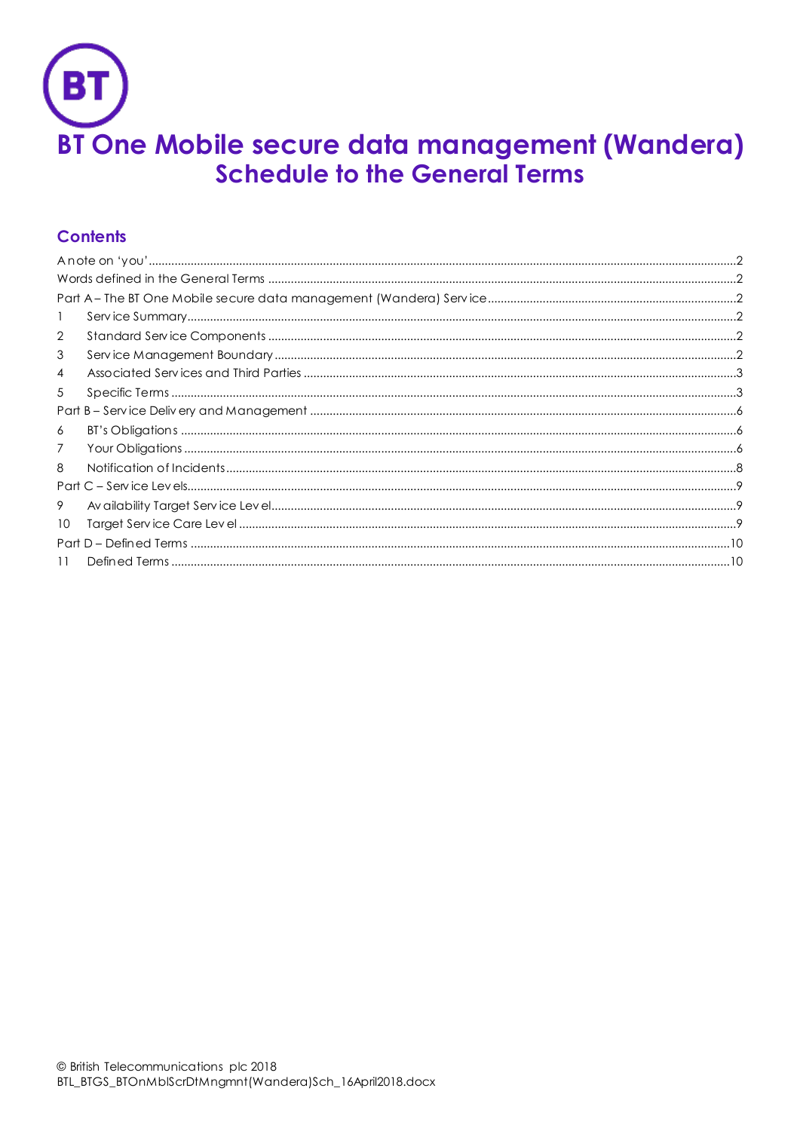

# **Contents**

| $\overline{2}$ |  |
|----------------|--|
| 3              |  |
| 4              |  |
| 5              |  |
|                |  |
| 6              |  |
| 7              |  |
| 8              |  |
|                |  |
| 9              |  |
| 10             |  |
|                |  |
| 11             |  |
|                |  |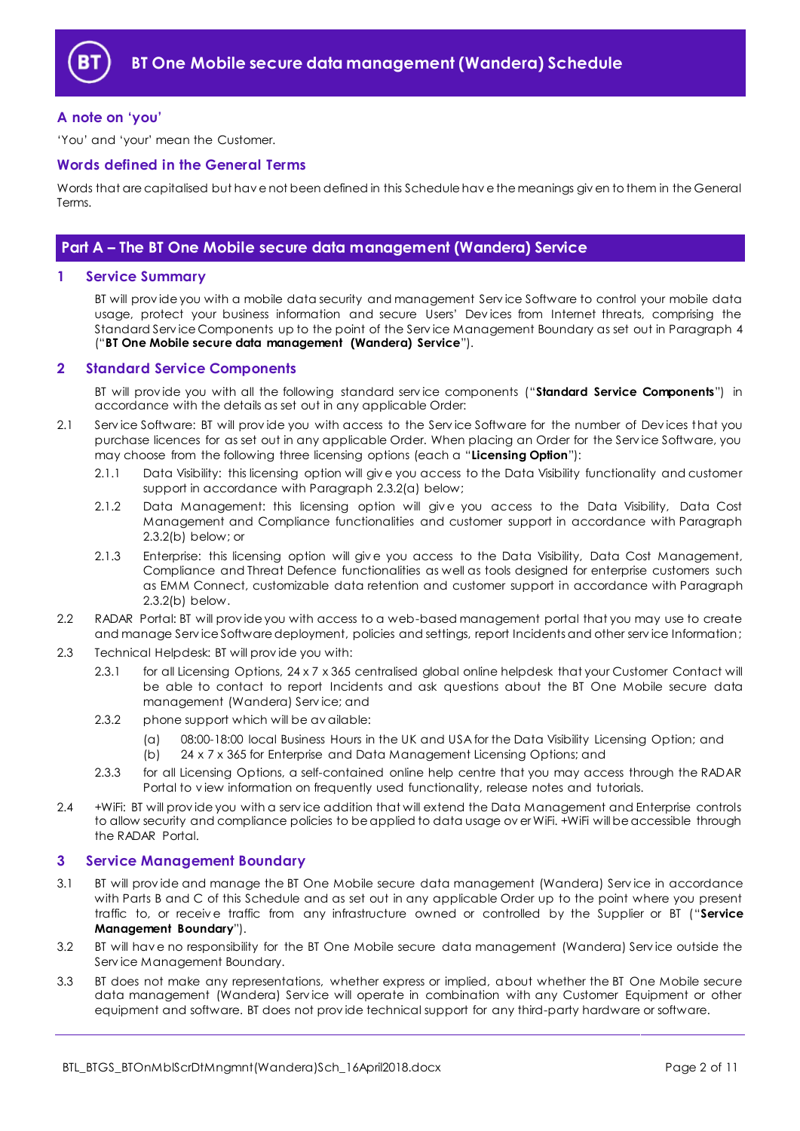

## <span id="page-1-0"></span>**A note on 'you'**

'You' and 'your' mean the Customer.

#### <span id="page-1-1"></span>**Words defined in the General Terms**

Words that are capitalised but hav e not been defined in this Schedule hav e the meanings giv en to them in the General Terms.

## <span id="page-1-2"></span>**Part A – The BT One Mobile secure data management (Wandera) Service**

#### <span id="page-1-3"></span>**1 Service Summary**

BT will prov ide you with a mobile data security and management Serv ice Software to control your mobile data usage, protect your business information and secure Users' Dev ices from Internet threats, comprising the Standard Serv ice Components up to the point of the Serv ice Management Boundary as set out in Paragraph [4](#page-2-0) ("**BT One Mobile secure data management (Wandera) Service**").

## <span id="page-1-4"></span>**2 Standard Service Components**

BT will prov ide you with all the following standard serv ice components ("**Standard Service Components**") in accordance with the details as set out in any applicable Order:

- 2.1 Serv ice Software: BT will prov ide you with access to the Serv ice Software for the number of Dev ices that you purchase licences for as set out in any applicable Order. When placing an Order for the Serv ice Software, you may choose from the following three licensing options (each a "**Licensing Option**"):
	- 2.1.1 Data Visibility: this licensing option will giv e you access to the Data Visibility functionality and customer support in accordance with Paragrap[h 2.3.2\(a\)](#page-1-6) below;
	- 2.1.2 Data Management: this licensing option will give you access to the Data Visibility, Data Cost Management and Compliance functionalities and customer support in accordance with Paragraph [2.3.2\(b\)](#page-1-7) below; or
	- 2.1.3 Enterprise: this licensing option will give you access to the Data Visibility, Data Cost Management, Compliance and Threat Defence functionalities as well as tools designed for enterprise customers such as EMM Connect, customizable data retention and customer support in accordance with Paragraph [2.3.2\(b\)](#page-1-7) below.
- <span id="page-1-9"></span>2.2 RADAR Portal: BT will prov ide you with access to a web-based management portal that you may use to create and manage Serv ice Software deployment, policies and settings, report Incidents and other serv ice Information;
- 2.3 Technical Helpdesk: BT will prov ide you with:
	- 2.3.1 for all Licensing Options, 24 x 7 x 365 centralised global online helpdesk that your Customer Contact will be able to contact to report Incidents and ask questions about the BT One Mobile secure data management (Wandera) Serv ice; and
	- 2.3.2 phone support which will be av ailable:
		- (a) 08:00-18:00 local Business Hours in the UK and USA for the Data Visibility Licensing Option; and
		- (b) 24 x 7 x 365 for Enterprise and Data Management Licensing Options; and
	- 2.3.3 for all Licensing Options, a self-contained online help centre that you may access through the RADAR Portal to v iew information on frequently used functionality, release notes and tutorials.
- <span id="page-1-8"></span><span id="page-1-7"></span><span id="page-1-6"></span>2.4 +WiFi: BT will prov ide you with a serv ice addition that will extend the Data Management and Enterprise controls to allow security and compliance policies to be applied to data usage ov er WiFi. +WiFi will be accessible through the RADAR Portal.

#### <span id="page-1-5"></span>**3 Service Management Boundary**

- <span id="page-1-10"></span>3.1 BT will prov ide and manage the BT One Mobile secure data management (Wandera) Serv ice in accordance with Parts B and C of this Schedule and as set out in any applicable Order up to the point where you present traffic to, or receiv e traffic from any infrastructure owned or controlled by the Supplier or BT ("**Service Management Boundary**").
- 3.2 BT will hav e no responsibility for the BT One Mobile secure data management (Wandera) Serv ice outside the Serv ice Management Boundary.
- 3.3 BT does not make any representations, whether express or implied, about whether the BT One Mobile secure data management (Wandera) Service will operate in combination with any Customer Equipment or other equipment and software. BT does not prov ide technical support for any third-party hardware or software.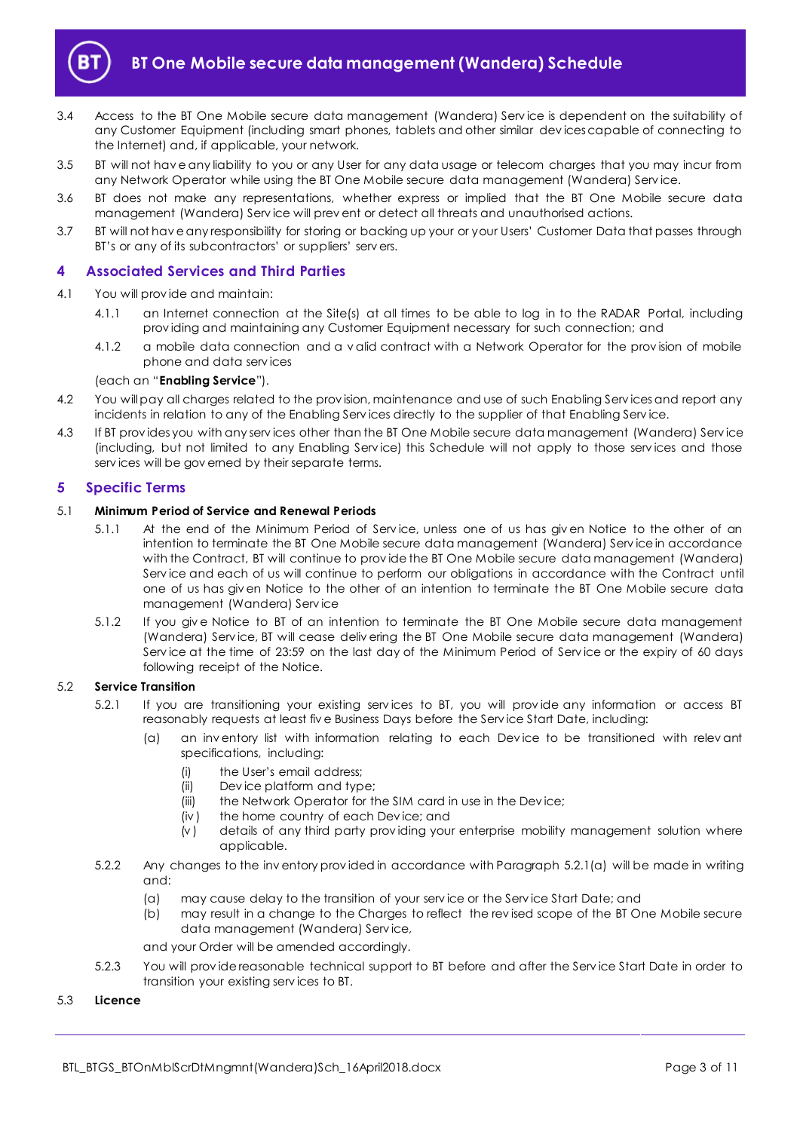

- 3.4 Access to the BT One Mobile secure data management (Wandera) Serv ice is dependent on the suitability of any Customer Equipment (including smart phones, tablets and other similar dev ices capable of connecting to the Internet) and, if applicable, your network.
- 3.5 BT will not hav e any liability to you or any User for any data usage or telecom charges that you may incur from any Network Operator while using the BT One Mobile secure data management (Wandera) Serv ice.
- 3.6 BT does not make any representations, whether express or implied that the BT One Mobile secure data management (Wandera) Serv ice will prev ent or detect all threats and unauthorised actions.
- 3.7 BT will not hav e any responsibility for storing or backing up your or your Users' Customer Data that passes through BT's or any of its subcontractors' or suppliers' serv ers.

## <span id="page-2-0"></span>**4 Associated Services and Third Parties**

#### <span id="page-2-3"></span>4.1 You will prov ide and maintain:

- 4.1.1 an Internet connection at the Site(s) at all times to be able to log in to the RADAR Portal, including prov iding and maintaining any Customer Equipment necessary for such connection; and
- 4.1.2 a mobile data connection and a v alid contract with a Network Operator for the prov ision of mobile phone and data serv ices

#### (each an "**Enabling Service**").

- 4.2 You will pay all charges related to the prov ision, maintenance and use of such Enabling Serv ices and report any incidents in relation to any of the Enabling Serv ices directly to the supplier of that Enabling Serv ice.
- 4.3 If BT prov ides you with any serv ices other than the BT One Mobile secure data management (Wandera) Serv ice (including, but not limited to any Enabling Serv ice) this Schedule will not apply to those serv ices and those serv ices will be gov erned by their separate terms.

#### <span id="page-2-1"></span>**5 Specific Terms**

#### 5.1 **Minimum Period of Service and Renewal Periods**

- 5.1.1 At the end of the Minimum Period of Serv ice, unless one of us has giv en Notice to the other of an intention to terminate the BT One Mobile secure data management (Wandera) Serv ice in accordance with the Contract, BT will continue to prov ide the BT One Mobile secure data management (Wandera) Serv ice and each of us will continue to perform our obligations in accordance with the Contract until one of us has giv en Notice to the other of an intention to terminate the BT One Mobile secure data management (Wandera) Serv ice
- 5.1.2 If you giv e Notice to BT of an intention to terminate the BT One Mobile secure data management (Wandera) Serv ice, BT will cease deliv ering the BT One Mobile secure data management (Wandera) Serv ice at the time of 23:59 on the last day of the Minimum Period of Serv ice or the expiry of 60 days following receipt of the Notice.

### <span id="page-2-2"></span>5.2 **Service Transition**

- 5.2.1 If you are transitioning your existing serv ices to BT, you will prov ide any information or access BT reasonably requests at least fiv e Business Days before the Serv ice Start Date, including:
	- an inv entory list with information relating to each Device to be transitioned with relev ant specifications, including:
		- (i) the User's email address;
		- (ii) Dev ice platform and type;
		- (iii) the Network Operator for the SIM card in use in the Device;
		- (iv ) the home country of each Dev ice; and
		- $\overline{v}(v)$  details of any third party providing your enterprise mobility management solution where applicable.
- 5.2.2 Any changes to the inv entory prov ided in accordance with Paragraph [5.2.1\(a\)](#page-2-2) will be made in writing and:
	- (a) may cause delay to the transition of your serv ice or the Serv ice Start Date; and
	- (b) may result in a change to the Charges to reflect the rev ised scope of the BT One Mobile secure data management (Wandera) Serv ice,

and your Order will be amended accordingly.

5.2.3 You will prov ide reasonable technical support to BT before and after the Serv ice Start Date in order to transition your existing serv ices to BT.

#### 5.3 **Licence**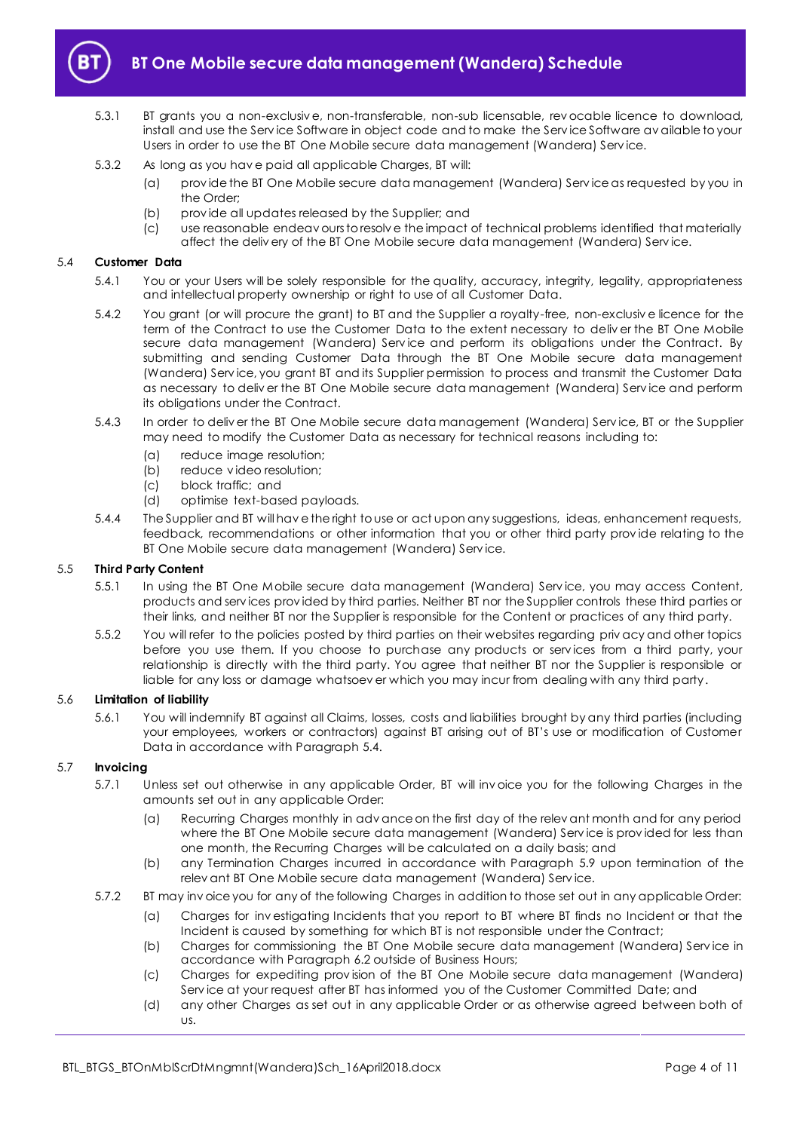

5.3.1 BT grants you a non-exclusiv e, non-transferable, non-sub licensable, rev ocable licence to download, install and use the Serv ice Software in object code and to make the Serv ice Software av ailable to your Users in order to use the BT One Mobile secure data management (Wandera) Serv ice.

#### 5.3.2 As long as you hav e paid all applicable Charges, BT will:

- (a) prov ide the BT One Mobile secure data management (Wandera) Serv ice as requested by you in the Order;
- (b) prov ide all updates released by the Supplier; and
- (c) use reasonable endeav ours to resolv e the impact of technical problems identified that materially affect the deliv ery of the BT One Mobile secure data management (Wandera) Serv ice.

#### <span id="page-3-0"></span>5.4 **Customer Data**

- 5.4.1 You or your Users will be solely responsible for the quality, accuracy, integrity, legality, appropriateness and intellectual property ownership or right to use of all Customer Data.
- 5.4.2 You grant (or will procure the grant) to BT and the Supplier a royalty-free, non-exclusiv e licence for the term of the Contract to use the Customer Data to the extent necessary to deliv er the BT One Mobile secure data management (Wandera) Service and perform its obligations under the Contract. By submitting and sending Customer Data through the BT One Mobile secure data management (Wandera) Serv ice, you grant BT and its Supplier permission to process and transmit the Customer Data as necessary to deliv er the BT One Mobile secure data management (Wandera) Serv ice and perform its obligations under the Contract.
- 5.4.3 In order to deliv er the BT One Mobile secure data management (Wandera) Serv ice, BT or the Supplier may need to modify the Customer Data as necessary for technical reasons including to:
	- (a) reduce image resolution;
	- (b) reduce v ideo resolution;
	- (c) block traffic; and
	- (d) optimise text-based payloads.
- 5.4.4 The Supplier and BT will hav e the right to use or act upon any suggestions, ideas, enhancement requests, feedback, recommendations or other information that you or other third party prov ide relating to the BT One Mobile secure data management (Wandera) Serv ice.

#### 5.5 **Third Party Content**

- 5.5.1 In using the BT One Mobile secure data management (Wandera) Serv ice, you may access Content, products and serv ices prov ided by third parties. Neither BT nor the Supplier controls these third parties or their links, and neither BT nor the Supplier is responsible for the Content or practices of any third party.
- 5.5.2 You will refer to the policies posted by third parties on their websites regarding priv acy and other topics before you use them. If you choose to purchase any products or serv ices from a third party, your relationship is directly with the third party. You agree that neither BT nor the Supplier is responsible or liable for any loss or damage whatsoev er which you may incur from dealing with any third party.

#### 5.6 **Limitation of liability**

5.6.1 You will indemnify BT against all Claims, losses, costs and liabilities brought by any third parties (including your employees, workers or contractors) against BT arising out of BT's use or modification of Customer Data in accordance with Paragrap[h 5.4.](#page-3-0)

#### 5.7 **Invoicing**

- 5.7.1 Unless set out otherwise in any applicable Order, BT will inv oice you for the following Charges in the amounts set out in any applicable Order:
	- (a) Recurring Charges monthly in adv ance on the first day of the relev ant month and for any period where the BT One Mobile secure data management (Wandera) Serv ice is prov ided for less than one month, the Recurring Charges will be calculated on a daily basis; and
	- (b) any Termination Charges incurred in accordance with Paragraph [5.9](#page-4-0) upon termination of the relev ant BT One Mobile secure data management (Wandera) Serv ice.
- 5.7.2 BT may inv oice you for any of the following Charges in addition to those set out in any applicable Order:
	- (a) Charges for inv estigating Incidents that you report to BT where BT finds no Incident or that the Incident is caused by something for which BT is not responsible under the Contract;
	- (b) Charges for commissioning the BT One Mobile secure data management (Wandera) Serv ice in accordance with Paragrap[h 6.2](#page-5-3) outside of Business Hours;
	- (c) Charges for expediting prov ision of the BT One Mobile secure data management (Wandera) Serv ice at your request after BT has informed you of the Customer Committed Date; and
	- (d) any other Charges as set out in any applicable Order or as otherwise agreed between both of us.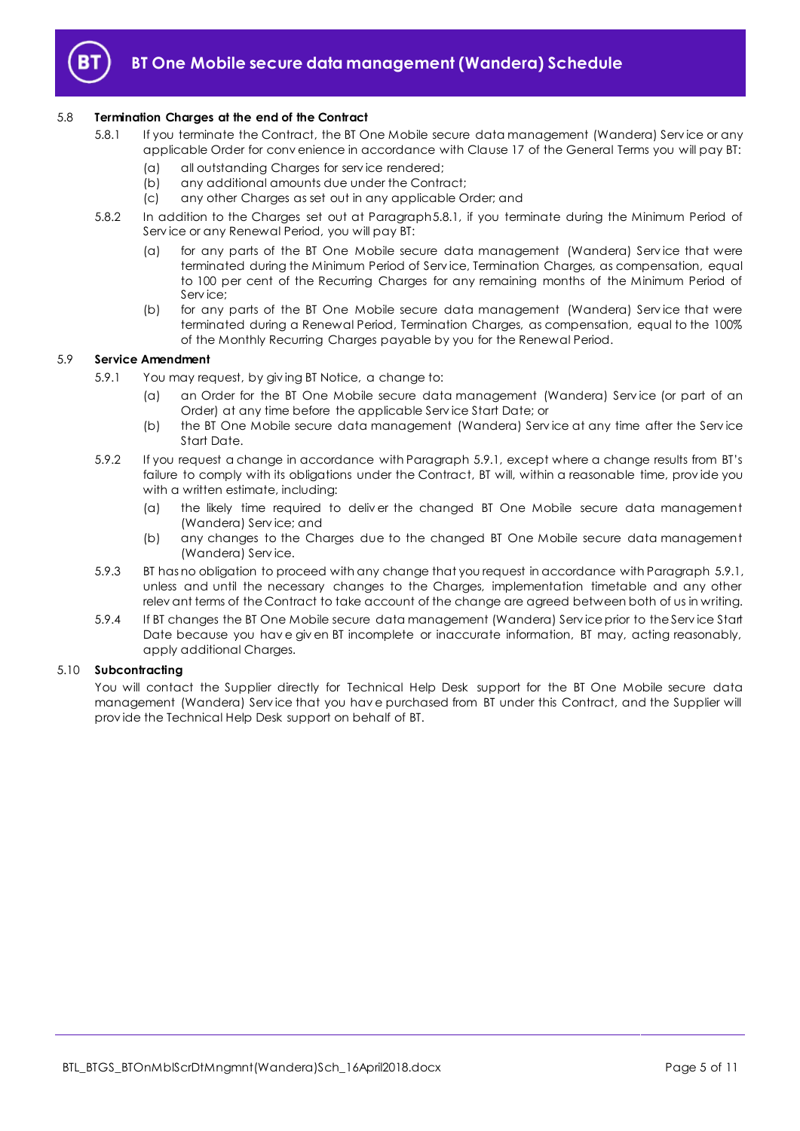

#### <span id="page-4-1"></span>5.8 **Termination Charges at the end of the Contract**

- 5.8.1 If you terminate the Contract, the BT One Mobile secure data management (Wandera) Serv ice or any applicable Order for conv enience in accordance with Clause 17 of the General Terms you will pay BT:
	- (a) all outstanding Charges for serv ice rendered;
	- (b) any additional amounts due under the Contract;
	- (c) any other Charges as set out in any applicable Order; and
- 5.8.2 In addition to the Charges set out at Paragrap[h5.8.1,](#page-4-1) if you terminate during the Minimum Period of Serv ice or any Renewal Period, you will pay BT:
	- (a) for any parts of the BT One Mobile secure data management (Wandera) Serv ice that were terminated during the Minimum Period of Serv ice, Termination Charges, as compensation, equal to 100 per cent of the Recurring Charges for any remaining months of the Minimum Period of Serv ice;
	- (b) for any parts of the BT One Mobile secure data management (Wandera) Serv ice that were terminated during a Renewal Period, Termination Charges, as compensation, equal to the 100% of the Monthly Recurring Charges payable by you for the Renewal Period.

#### <span id="page-4-2"></span><span id="page-4-0"></span>5.9 **Service Amendment**

- 5.9.1 You may request, by giv ing BT Notice, a change to:
	- (a) an Order for the BT One Mobile secure data management (Wandera) Serv ice (or part of an Order) at any time before the applicable Serv ice Start Date; or
	- (b) the BT One Mobile secure data management (Wandera) Serv ice at any time after the Serv ice Start Date.
- 5.9.2 If you request a change in accordance with Paragrap[h 5.9.1](#page-4-2), except where a change results from BT's failure to comply with its obligations under the Contract, BT will, within a reasonable time, prov ide you with a written estimate, including:
	- (a) the likely time required to deliv er the changed BT One Mobile secure data management (Wandera) Serv ice; and
	- (b) any changes to the Charges due to the changed BT One Mobile secure data management (Wandera) Serv ice.
- 5.9.3 BT has no obligation to proceed with any change that you request in accordance with Paragrap[h 5.9.1,](#page-4-2) unless and until the necessary changes to the Charges, implementation timetable and any other relev ant terms of the Contract to take account of the change are agreed between both of us in writing.
- 5.9.4 If BT changes the BT One Mobile secure data management (Wandera) Serv ice prior to the Serv ice Start Date because you hav e giv en BT incomplete or inaccurate information, BT may, acting reasonably, apply additional Charges.

#### 5.10 **Subcontracting**

You will contact the Supplier directly for Technical Help Desk support for the BT One Mobile secure data management (Wandera) Serv ice that you hav e purchased from BT under this Contract, and the Supplier will prov ide the Technical Help Desk support on behalf of BT.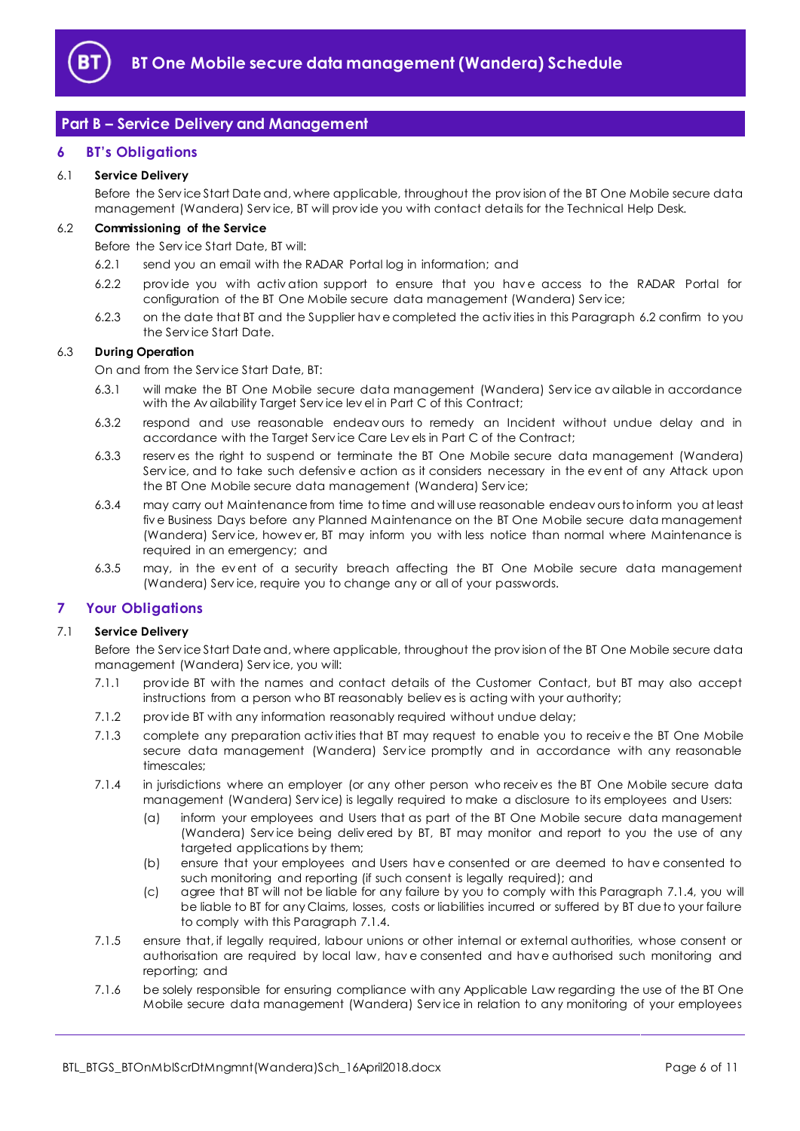

## <span id="page-5-0"></span>**Part B – Service Delivery and Management**

## <span id="page-5-1"></span>**6 BT's Obligations**

## 6.1 **Service Delivery**

Before the Serv ice Start Date and, where applicable, throughout the prov ision of the BT One Mobile secure data management (Wandera) Serv ice, BT will prov ide you with contact details for the Technical Help Desk.

## <span id="page-5-3"></span>6.2 **Commissioning of the Service**

Before the Serv ice Start Date, BT will:

- 6.2.1 send you an email with the RADAR Portal log in information; and
- 6.2.2 provide you with activation support to ensure that you have access to the RADAR Portal for configuration of the BT One Mobile secure data management (Wandera) Serv ice;
- 6.2.3 on the date that BT and the Supplier hav e completed the activ ities in this Paragraph [6.2](#page-5-3) confirm to you the Serv ice Start Date.

#### 6.3 **During Operation**

On and from the Serv ice Start Date, BT:

- 6.3.1 will make the BT One Mobile secure data management (Wandera) Serv ice av ailable in accordance with the Av ailability Target Serv ice lev el in Part C of this Contract;
- 6.3.2 respond and use reasonable endeav ours to remedy an Incident without undue delay and in accordance with the Target Serv ice Care Lev els in Part C of the Contract;
- 6.3.3 reserv es the right to suspend or terminate the BT One Mobile secure data management (Wandera) Serv ice, and to take such defensiv e action as it considers necessary in the ev ent of any Attack upon the BT One Mobile secure data management (Wandera) Serv ice;
- 6.3.4 may carry out Maintenance from time to time and will use reasonable endeav ours to inform you at least fiv e Business Days before any Planned Maintenance on the BT One Mobile secure data management (Wandera) Serv ice, howev er, BT may inform you with less notice than normal where Maintenance is required in an emergency; and
- 6.3.5 may, in the ev ent of a security breach affecting the BT One Mobile secure data management (Wandera) Serv ice, require you to change any or all of your passwords.

## <span id="page-5-2"></span>**7 Your Obligations**

#### 7.1 **Service Delivery**

Before the Serv ice Start Date and, where applicable, throughout the prov ision of the BT One Mobile secure data management (Wandera) Serv ice, you will:

- 7.1.1 prov ide BT with the names and contact details of the Customer Contact, but BT may also accept instructions from a person who BT reasonably believ es is acting with your authority;
- 7.1.2 prov ide BT with any information reasonably required without undue delay;
- 7.1.3 complete any preparation activ ities that BT may request to enable you to receiv e the BT One Mobile secure data management (Wandera) Service promptly and in accordance with any reasonable timescales;
- <span id="page-5-4"></span>7.1.4 in jurisdictions where an employer (or any other person who receiv es the BT One Mobile secure data management (Wandera) Serv ice) is legally required to make a disclosure to its employees and Users:
	- (a) inform your employees and Users that as part of the BT One Mobile secure data management (Wandera) Serv ice being deliv ered by BT, BT may monitor and report to you the use of any targeted applications by them;
	- (b) ensure that your employees and Users hav e consented or are deemed to hav e consented to such monitoring and reporting (if such consent is legally required); and
	- (c) agree that BT will not be liable for any failure by you to comply with this Paragraph [7.1.4,](#page-5-4) you will be liable to BT for any Claims, losses, costs or liabilities incurred or suffered by BT due to your failure to comply with this Paragrap[h 7.1.4.](#page-5-4)
- 7.1.5 ensure that, if legally required, labour unions or other internal or external authorities, whose consent or authorisation are required by local law, hav e consented and hav e authorised such monitoring and reporting; and
- 7.1.6 be solely responsible for ensuring compliance with any Applicable Law regarding the use of the BT One Mobile secure data management (Wandera) Serv ice in relation to any monitoring of your employees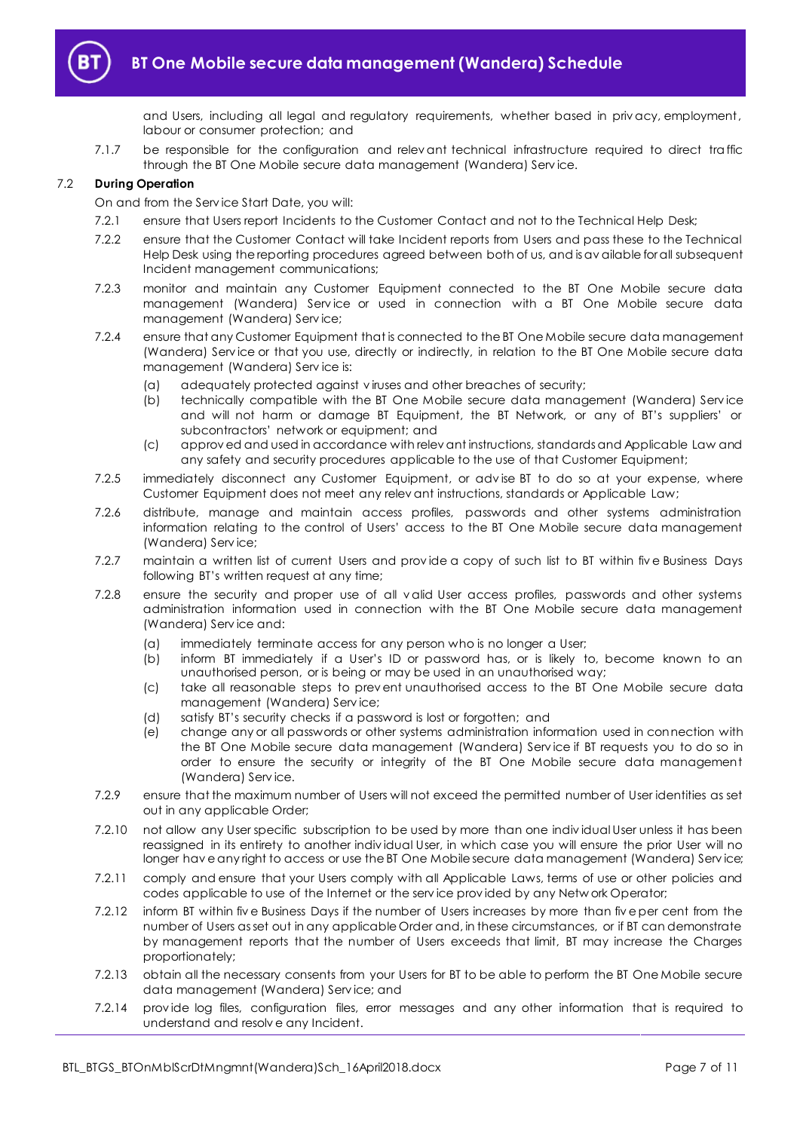

and Users, including all legal and regulatory requirements, whether based in priv acy, employment, labour or consumer protection; and

7.1.7 be responsible for the configuration and relev ant technical infrastructure required to direct traffic through the BT One Mobile secure data management (Wandera) Serv ice.

#### 7.2 **During Operation**

On and from the Serv ice Start Date, you will:

- 7.2.1 ensure that Users report Incidents to the Customer Contact and not to the Technical Help Desk;
- 7.2.2 ensure that the Customer Contact will take Incident reports from Users and pass these to the Technical Help Desk using the reporting procedures agreed between both of us, and is av ailable for all subsequent Incident management communications;
- 7.2.3 monitor and maintain any Customer Equipment connected to the BT One Mobile secure data management (Wandera) Service or used in connection with a BT One Mobile secure data management (Wandera) Serv ice;
- 7.2.4 ensure that any Customer Equipment that is connected to the BT One Mobile secure data management (Wandera) Serv ice or that you use, directly or indirectly, in relation to the BT One Mobile secure data management (Wandera) Serv ice is:
	- (a) adequately protected against v iruses and other breaches of security;
	- (b) technically compatible with the BT One Mobile secure data management (Wandera) Serv ice and will not harm or damage BT Equipment, the BT Network, or any of BT's suppliers' or subcontractors' network or equipment; and
	- (c) approv ed and used in accordance with relev ant instructions, standards and Applicable Law and any safety and security procedures applicable to the use of that Customer Equipment;
- 7.2.5 immediately disconnect any Customer Equipment, or adv ise BT to do so at your expense, where Customer Equipment does not meet any relev ant instructions, standards or Applicable Law;
- 7.2.6 distribute, manage and maintain access profiles, passwords and other systems administration information relating to the control of Users' access to the BT One Mobile secure data management (Wandera) Serv ice;
- 7.2.7 maintain a written list of current Users and provide a copy of such list to BT within five Business Days following BT's written request at any time;
- 7.2.8 ensure the security and proper use of all v alid User access profiles, passwords and other systems administration information used in connection with the BT One Mobile secure data management (Wandera) Serv ice and:
	- (a) immediately terminate access for any person who is no longer a User;
	- (b) inform BT immediately if a User's ID or password has, or is likely to, become known to an unauthorised person, or is being or may be used in an unauthorised way;
	- (c) take all reasonable steps to prev ent unauthorised access to the BT One Mobile secure data management (Wandera) Serv ice;
	- (d) satisfy BT's security checks if a password is lost or forgotten; and
	- (e) change any or all passwords or other systems administration information used in connection with the BT One Mobile secure data management (Wandera) Serv ice if BT requests you to do so in order to ensure the security or integrity of the BT One Mobile secure data management (Wandera) Serv ice.
- 7.2.9 ensure that the maximum number of Users will not exceed the permitted number of User identities as set out in any applicable Order;
- 7.2.10 not allow any User specific subscription to be used by more than one indiv idual User unless it has been reassigned in its entirety to another indiv idual User, in which case you will ensure the prior User will no longer have any right to access or use the BT One Mobile secure data management (Wandera) Service;
- 7.2.11 comply and ensure that your Users comply with all Applicable Laws, terms of use or other policies and codes applicable to use of the Internet or the serv ice prov ided by any Netw ork Operator;
- 7.2.12 inform BT within fiv e Business Days if the number of Users increases by more than fiv e per cent from the number of Users as set out in any applicable Order and, in these circumstances, or if BT can demonstrate by management reports that the number of Users exceeds that limit, BT may increase the Charges proportionately;
- 7.2.13 obtain all the necessary consents from your Users for BT to be able to perform the BT One Mobile secure data management (Wandera) Serv ice; and
- 7.2.14 prov ide log files, configuration files, error messages and any other information that is required to understand and resolv e any Incident.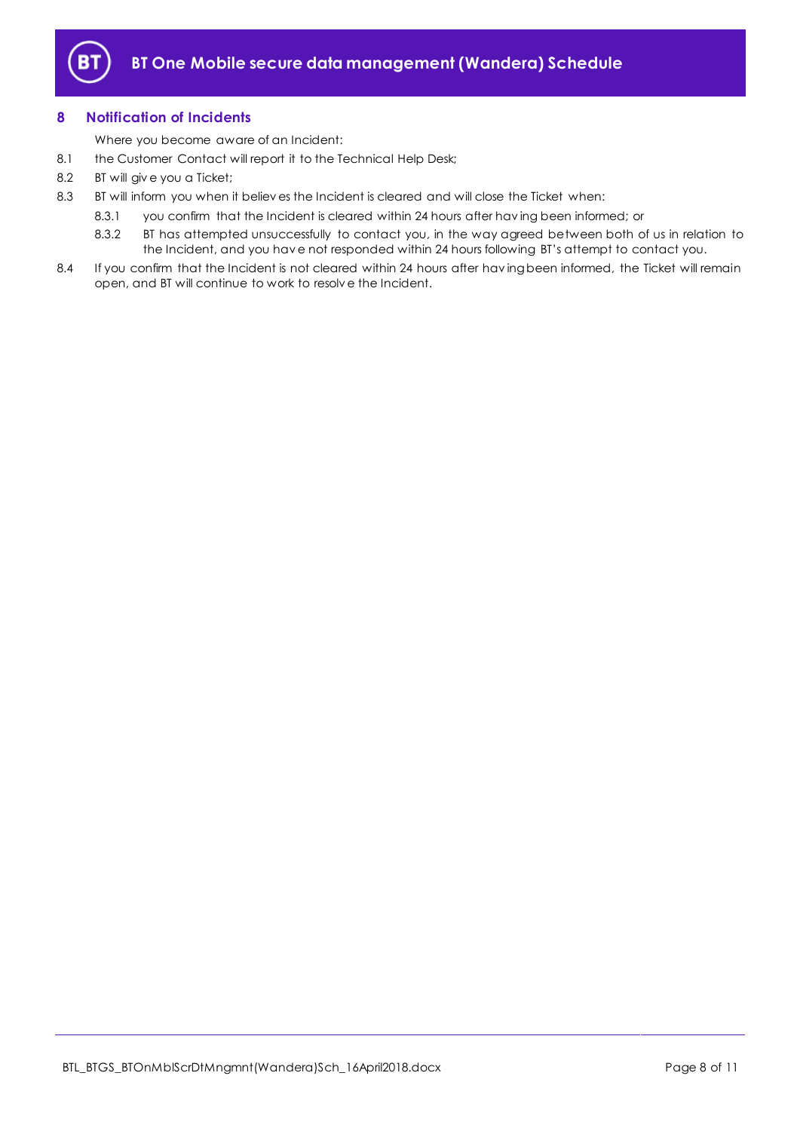

## <span id="page-7-0"></span>**8 Notification of Incidents**

Where you become aware of an Incident:

- <span id="page-7-1"></span>8.1 the Customer Contact will report it to the Technical Help Desk;
- 8.2 BT will giv e you a Ticket;
- 8.3 BT will inform you when it believ es the Incident is cleared and will close the Ticket when:
	- 8.3.1 you confirm that the Incident is cleared within 24 hours after hav ing been informed; or
	- 8.3.2 BT has attempted unsuccessfully to contact you, in the way agreed between both of us in relation to the Incident, and you hav e not responded within 24 hours following BT's attempt to contact you.
- 8.4 If you confirm that the Incident is not cleared within 24 hours after having been informed, the Ticket will remain open, and BT will continue to work to resolv e the Incident.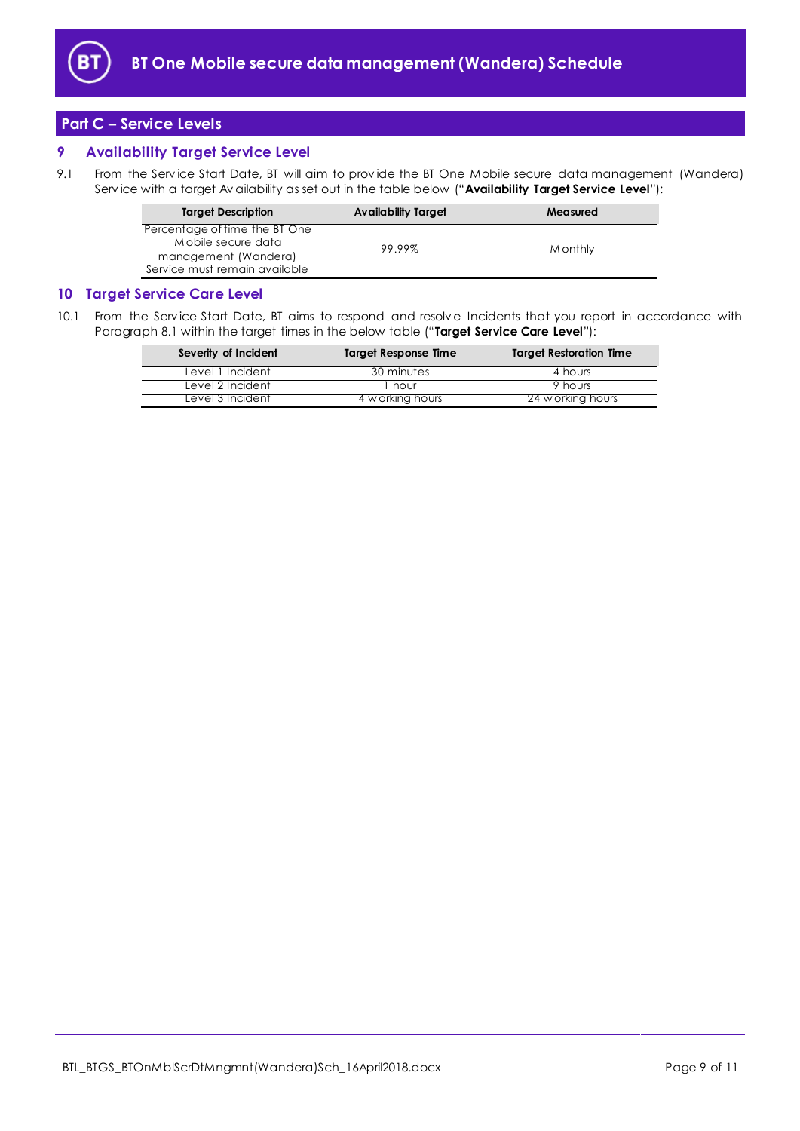

## <span id="page-8-0"></span>**Part C – Service Levels**

## <span id="page-8-1"></span>**9 Availability Target Service Level**

<span id="page-8-3"></span>9.1 From the Service Start Date, BT will aim to provide the BT One Mobile secure data management (Wandera) Serv ice with a target Av ailability as set out in the table below ("**Availability Target Service Level**"):

| <b>Target Description</b>                                                                                    | <b>Availability Target</b> | Measured |
|--------------------------------------------------------------------------------------------------------------|----------------------------|----------|
| Percentage of time the BT One<br>Mobile secure data<br>management (Wandera)<br>Service must remain available | 99.99%                     | M onthly |

### <span id="page-8-2"></span>**10 Target Service Care Level**

<span id="page-8-4"></span>10.1 From the Service Start Date, BT aims to respond and resolve Incidents that you report in accordance with Paragraph [8.1](#page-7-1) within the target times in the below table ("**Target Service Care Level**"):

| Severity of Incident | <b>Target Response Time</b> | <b>Target Restoration Time</b> |
|----------------------|-----------------------------|--------------------------------|
| Level 1 Incident     | 30 minutes                  | 4 hours                        |
| Level 2 Incident     | hour                        | 9 hours                        |
| Level 3 Incident     | 4 w orking hours            | 24 w orking hours              |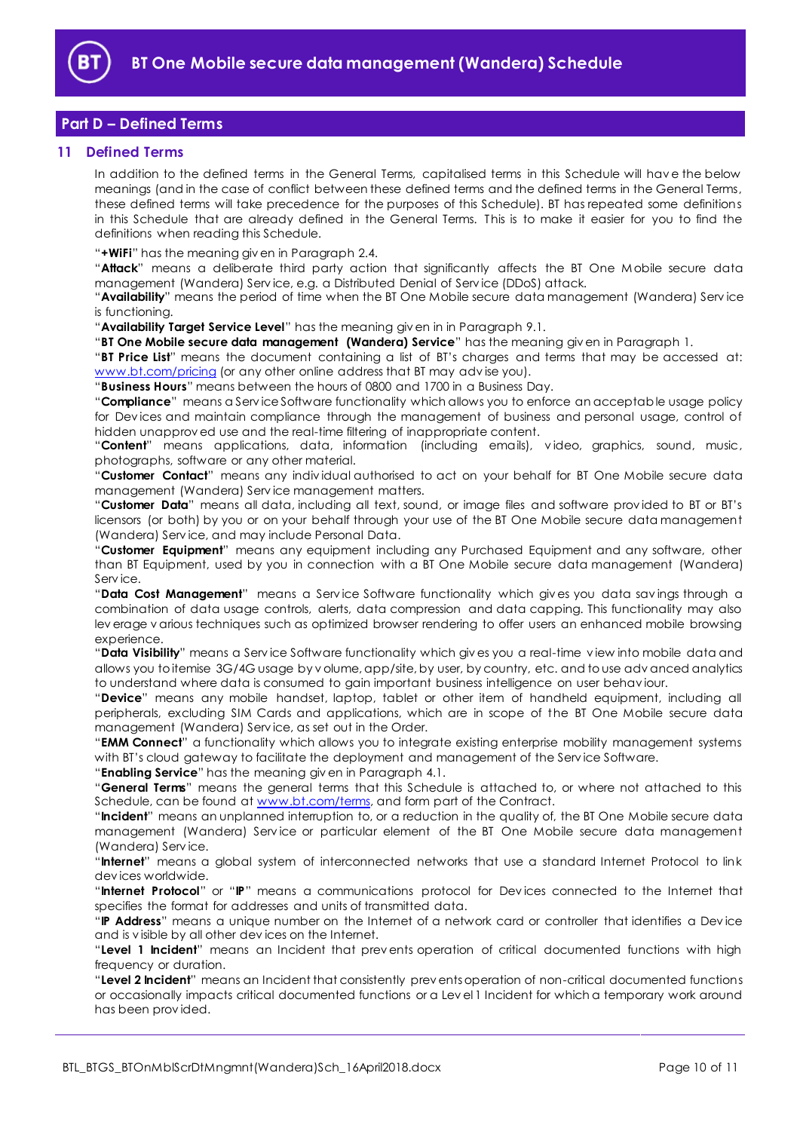

## <span id="page-9-0"></span>**Part D – Defined Terms**

#### <span id="page-9-1"></span>**11 Defined Terms**

In addition to the defined terms in the General Terms, capitalised terms in this Schedule will hav e the below meanings (and in the case of conflict between these defined terms and the defined terms in the General Terms, these defined terms will take precedence for the purposes of this Schedule). BT has repeated some definitions in this Schedule that are already defined in the General Terms. This is to make it easier for you to find the definitions when reading this Schedule.

"**+WiFi**" has the meaning giv en in Paragraph [2.4.](#page-1-8)

"**Attack**" means a deliberate third party action that significantly affects the BT One M obile secure data management (Wandera) Serv ice, e.g. a Distributed Denial of Serv ice (DDoS) attack.

"**Availability**" means the period of time when the BT One Mobile secure data management (Wandera) Serv ice is functioning.

"**Availability Target Service Level**" has the meaning giv en in in Paragraph [9.1.](#page-8-3)

"**BT One Mobile secure data management (Wandera) Service**" has the meaning giv en in Paragraph [1.](#page-1-3)

"**BT Price List**" means the document containing a list of BT's charges and terms that may be accessed at: [www.bt.com/pricing](http://www.bt.com/pricing) (or any other online address that BT may advise you).

"**Business Hours**" means between the hours of 0800 and 1700 in a Business Day.

"**Compliance**" means a Serv ice Software functionality which allows you to enforce an acceptable usage policy for Dev ices and maintain compliance through the management of business and personal usage, control of hidden unapprov ed use and the real-time filtering of inappropriate content.

"**Content**" means applications, data, information (including emails), v ideo, graphics, sound, music, photographs, software or any other material.

"**Customer Contact**" means any indiv idual authorised to act on your behalf for BT One Mobile secure data management (Wandera) Serv ice management matters.

"**Customer Data**" means all data, including all text, sound, or image files and software prov ided to BT or BT's licensors (or both) by you or on your behalf through your use of the BT One Mobile secure data management (Wandera) Serv ice, and may include Personal Data.

"**Customer Equipment**" means any equipment including any Purchased Equipment and any software, other than BT Equipment, used by you in connection with a BT One Mobile secure data management (Wandera) Serv ice.

"**Data Cost Management**" means a Serv ice Software functionality which giv es you data sav ings through a combination of data usage controls, alerts, data compression and data capping. This functionality may also lev erage v arious techniques such as optimized browser rendering to offer users an enhanced mobile browsing experience.

"**Data Visibility**" means a Serv ice Software functionality which giv es you a real-time v iew into mobile data and allows you to itemise 3G/4G usage by v olume, app/site, by user, by country, etc. and to use adv anced analytics to understand where data is consumed to gain important business intelligence on user behav iour.

"**Device**" means any mobile handset, laptop, tablet or other item of handheld equipment, including all peripherals, excluding SIM Cards and applications, which are in scope of the BT One Mobile secure data management (Wandera) Serv ice, as set out in the Order.

"**EMM Connect**" a functionality which allows you to integrate existing enterprise mobility management systems with BT's cloud gateway to facilitate the deployment and management of the Service Software.

"**Enabling Service**" has the meaning giv en in Paragraph [4.1.](#page-2-3)

"**General Terms**" means the general terms that this Schedule is attached to, or where not attached to this Schedule, can be found at [www.bt.com/terms,](http://www.bt.com/terms) and form part of the Contract.

"**Incident**" means an unplanned interruption to, or a reduction in the quality of, the BT One Mobile secure data management (Wandera) Serv ice or particular element of the BT One Mobile secure data management (Wandera) Serv ice.

"**Internet**" means a global system of interconnected networks that use a standard Internet Protocol to link dev ices worldwide.

"**Internet Protocol**" or "**IP**" means a communications protocol for Dev ices connected to the Internet that specifies the format for addresses and units of transmitted data.

"**IP Address**" means a unique number on the Internet of a network card or controller that identifies a Dev ice and is v isible by all other dev ices on the Internet.

"**Level 1 Incident**" means an Incident that prev ents operation of critical documented functions with high frequency or duration.

"**Level 2 Incident**" means an Incident that consistently prev ents operation of non-critical documented functions or occasionally impacts critical documented functions or a Lev el 1 Incident for which a temporary work around has been prov ided.